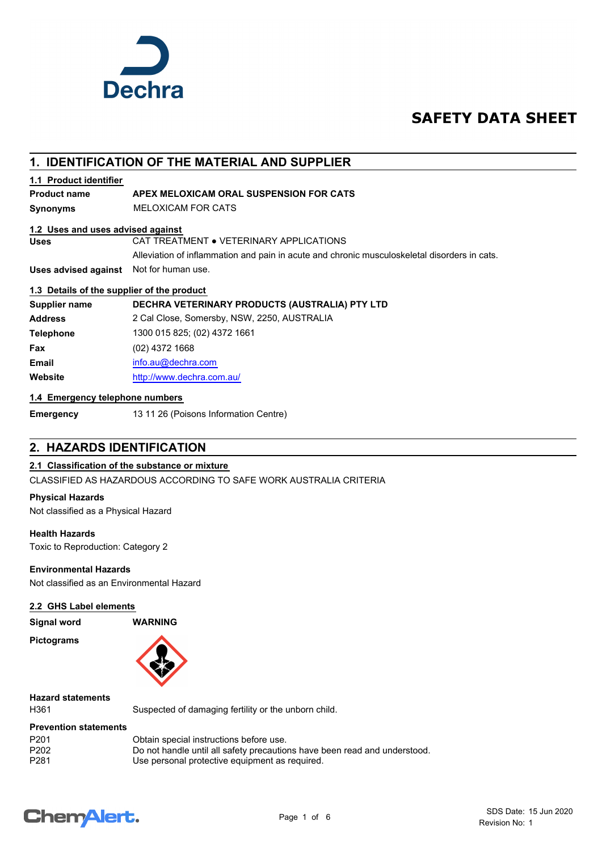

# **SAFETY DATA SHEET**

## **1. IDENTIFICATION OF THE MATERIAL AND SUPPLIER**

#### **1.1 Product identifier**

## **Product name APEX MELOXICAM ORAL SUSPENSION FOR CATS**

**Synonyms** MELOXICAM FOR CATS

#### **1.2 Uses and uses advised against**

**Uses** CAT TREATMENT ● VETERINARY APPLICATIONS

Alleviation of inflammation and pain in acute and chronic musculoskeletal disorders in cats.

**Uses advised against** Not for human use.

#### **1.3 Details of the supplier of the product**

| Supplier name    | DECHRA VETERINARY PRODUCTS (AUSTRALIA) PTY LTD |
|------------------|------------------------------------------------|
| <b>Address</b>   | 2 Cal Close, Somersby, NSW, 2250, AUSTRALIA    |
| <b>Telephone</b> | 1300 015 825; (02) 4372 1661                   |
| Fax              | $(02)$ 4372 1668                               |
| <b>Email</b>     | info.au@dechra.com                             |
| Website          | http://www.dechra.com.au/                      |

#### **1.4 Emergency telephone numbers**

**Emergency** 13 11 26 (Poisons Information Centre)

# **2. HAZARDS IDENTIFICATION**

## **2.1 Classification of the substance or mixture**

CLASSIFIED AS HAZARDOUS ACCORDING TO SAFE WORK AUSTRALIA CRITERIA

#### **Physical Hazards**

Not classified as a Physical Hazard

#### **Health Hazards**

Toxic to Reproduction: Category 2

#### **Environmental Hazards**

Not classified as an Environmental Hazard

#### **2.2 GHS Label elements**

**Signal word WARNING**

**Pictograms**



# **Hazard statements**

H361 Suspected of damaging fertility or the unborn child.

#### **Prevention statements**

| P <sub>201</sub> | Obtain special instructions before use.                                   |
|------------------|---------------------------------------------------------------------------|
| P <sub>202</sub> | Do not handle until all safety precautions have been read and understood. |
| P <sub>281</sub> | Use personal protective equipment as required.                            |

# **ChemAlert.**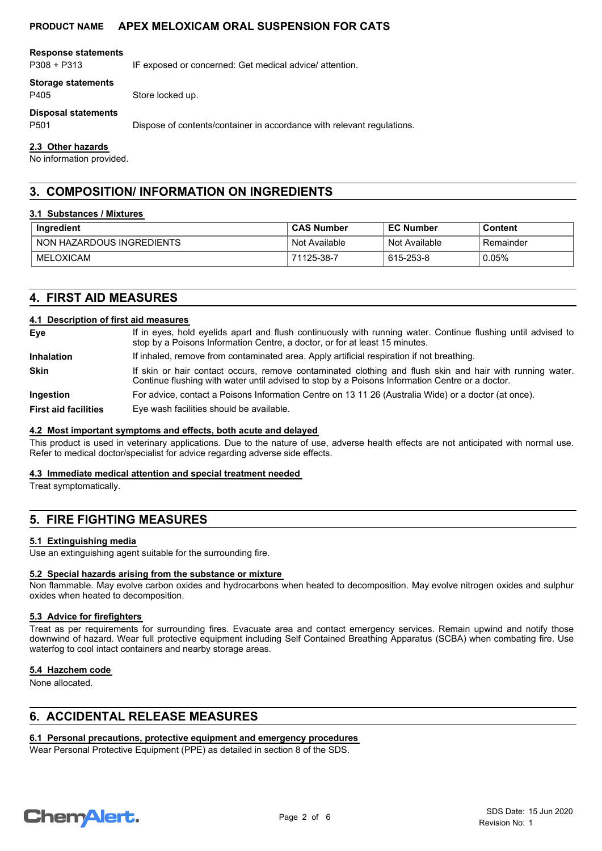#### **Response statements**

P308 + P313 IF exposed or concerned: Get medical advice/ attention.

#### **Storage statements**

P405 Store locked up.

**Disposal statements**

P501 Dispose of contents/container in accordance with relevant regulations.

#### **2.3 Other hazards**

No information provided.

## **3. COMPOSITION/ INFORMATION ON INGREDIENTS**

#### **3.1 Substances / Mixtures**

| Ingredient                | <b>CAS Number</b> | <b>EC Number</b> | Content   |
|---------------------------|-------------------|------------------|-----------|
| NON HAZARDOUS INGREDIENTS | Not Available     | Not Available    | Remainder |
| MELOXICAM                 | 71125-38-7        | 615-253-8        | 0.05%     |

## **4. FIRST AID MEASURES**

#### **4.1 Description of first aid measures**

| Eye                         | If in eyes, hold eyelids apart and flush continuously with running water. Continue flushing until advised to<br>stop by a Poisons Information Centre, a doctor, or for at least 15 minutes.                 |  |
|-----------------------------|-------------------------------------------------------------------------------------------------------------------------------------------------------------------------------------------------------------|--|
| <b>Inhalation</b>           | If inhaled, remove from contaminated area. Apply artificial respiration if not breathing.                                                                                                                   |  |
| <b>Skin</b>                 | If skin or hair contact occurs, remove contaminated clothing and flush skin and hair with running water.<br>Continue flushing with water until advised to stop by a Poisons Information Centre or a doctor. |  |
| Ingestion                   | For advice, contact a Poisons Information Centre on 13 11 26 (Australia Wide) or a doctor (at once).                                                                                                        |  |
| <b>First aid facilities</b> | Eye wash facilities should be available.                                                                                                                                                                    |  |

#### **4.2 Most important symptoms and effects, both acute and delayed**

This product is used in veterinary applications. Due to the nature of use, adverse health effects are not anticipated with normal use. Refer to medical doctor/specialist for advice regarding adverse side effects.

#### **4.3 Immediate medical attention and special treatment needed**

Treat symptomatically.

## **5. FIRE FIGHTING MEASURES**

#### **5.1 Extinguishing media**

Use an extinguishing agent suitable for the surrounding fire.

#### **5.2 Special hazards arising from the substance or mixture**

Non flammable. May evolve carbon oxides and hydrocarbons when heated to decomposition. May evolve nitrogen oxides and sulphur oxides when heated to decomposition.

#### **5.3 Advice for firefighters**

Treat as per requirements for surrounding fires. Evacuate area and contact emergency services. Remain upwind and notify those downwind of hazard. Wear full protective equipment including Self Contained Breathing Apparatus (SCBA) when combating fire. Use waterfog to cool intact containers and nearby storage areas.

#### **5.4 Hazchem code**

None allocated.

## **6. ACCIDENTAL RELEASE MEASURES**

#### **6.1 Personal precautions, protective equipment and emergency procedures**

Wear Personal Protective Equipment (PPE) as detailed in section 8 of the SDS.

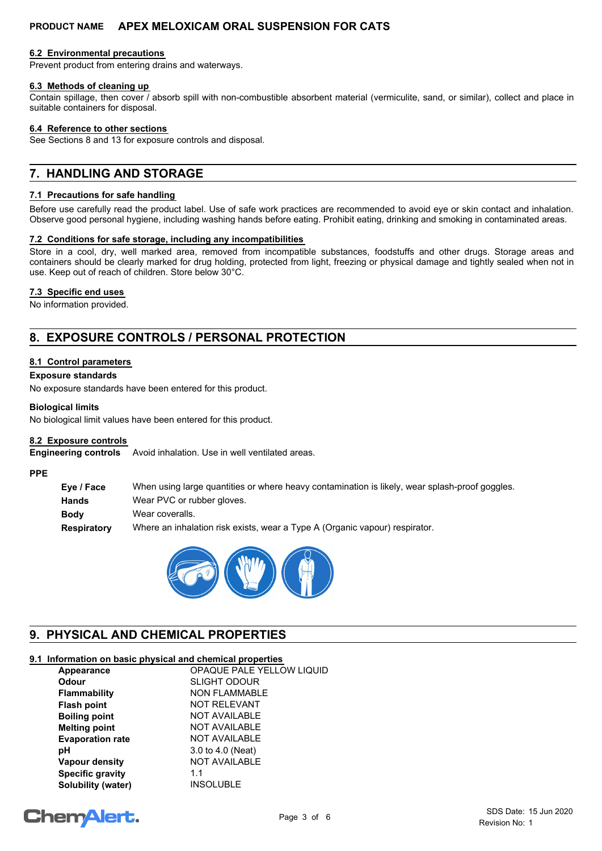#### **6.2 Environmental precautions**

Prevent product from entering drains and waterways.

#### **6.3 Methods of cleaning up**

Contain spillage, then cover / absorb spill with non-combustible absorbent material (vermiculite, sand, or similar), collect and place in suitable containers for disposal.

#### **6.4 Reference to other sections**

See Sections 8 and 13 for exposure controls and disposal.

# **7. HANDLING AND STORAGE**

#### **7.1 Precautions for safe handling**

Before use carefully read the product label. Use of safe work practices are recommended to avoid eye or skin contact and inhalation. Observe good personal hygiene, including washing hands before eating. Prohibit eating, drinking and smoking in contaminated areas.

#### **7.2 Conditions for safe storage, including any incompatibilities**

Store in a cool, dry, well marked area, removed from incompatible substances, foodstuffs and other drugs. Storage areas and containers should be clearly marked for drug holding, protected from light, freezing or physical damage and tightly sealed when not in use. Keep out of reach of children. Store below 30°C.

#### **7.3 Specific end uses**

No information provided.

# **8. EXPOSURE CONTROLS / PERSONAL PROTECTION**

#### **8.1 Control parameters**

#### **Exposure standards**

No exposure standards have been entered for this product.

#### **Biological limits**

No biological limit values have been entered for this product.

#### **8.2 Exposure controls**

Avoid inhalation. Use in well ventilated areas. **Engineering controls**

#### **PPE**

**Eye / Face** When using large quantities or where heavy contamination is likely, wear splash-proof goggles. **Hands** Wear PVC or rubber gloves. **Body** Wear coveralls. **Respiratory** Where an inhalation risk exists, wear a Type A (Organic vapour) respirator.



# **9. PHYSICAL AND CHEMICAL PROPERTIES**

## **9.1 Information on basic physical and chemical properties**

| Appearance              | <b>OPAQUE PALE YELLOW LIQUID</b> |
|-------------------------|----------------------------------|
| <b>Odour</b>            | <b>SLIGHT ODOUR</b>              |
| <b>Flammability</b>     | <b>NON FLAMMABLE</b>             |
| <b>Flash point</b>      | <b>NOT RELEVANT</b>              |
| <b>Boiling point</b>    | <b>NOT AVAILABLE</b>             |
| <b>Melting point</b>    | <b>NOT AVAILABLE</b>             |
| <b>Evaporation rate</b> | <b>NOT AVAILABLE</b>             |
| рH                      | 3.0 to 4.0 (Neat)                |
| <b>Vapour density</b>   | <b>NOT AVAILABLE</b>             |
| <b>Specific gravity</b> | 1.1                              |
| Solubility (water)      | <b>INSOLUBLE</b>                 |

# **ChemAlert.**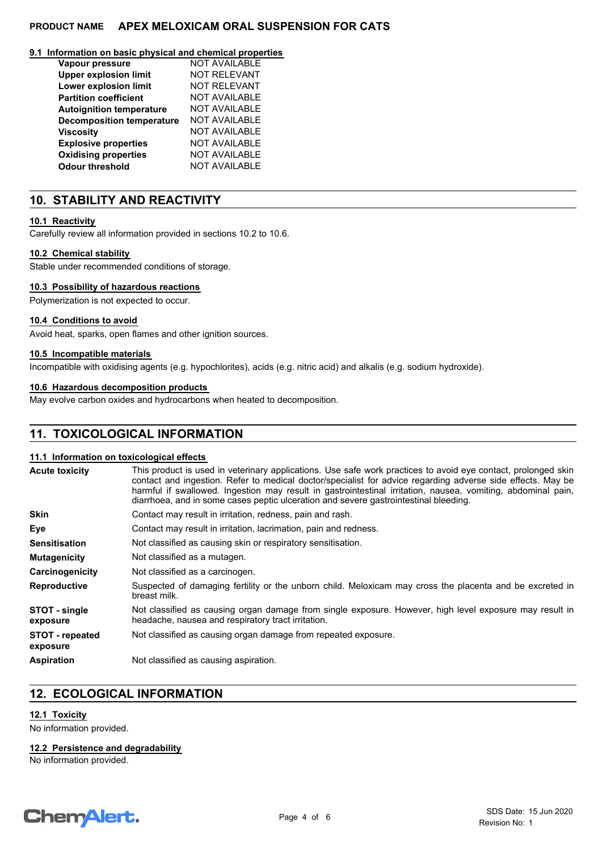#### **9.1 Information on basic physical and chemical properties**

| Vapour pressure                  | <b>NOT AVAILABLE</b> |
|----------------------------------|----------------------|
| <b>Upper explosion limit</b>     | <b>NOT RELEVANT</b>  |
| <b>Lower explosion limit</b>     | <b>NOT RELEVANT</b>  |
| <b>Partition coefficient</b>     | <b>NOT AVAILABLE</b> |
| <b>Autoignition temperature</b>  | <b>NOT AVAILABLE</b> |
| <b>Decomposition temperature</b> | <b>NOT AVAILABLE</b> |
| <b>Viscosity</b>                 | <b>NOT AVAILABLE</b> |
| <b>Explosive properties</b>      | <b>NOT AVAILABLE</b> |
| <b>Oxidising properties</b>      | <b>NOT AVAILABLE</b> |
| <b>Odour threshold</b>           | <b>NOT AVAILABLE</b> |

## **10. STABILITY AND REACTIVITY**

#### **10.1 Reactivity**

Carefully review all information provided in sections 10.2 to 10.6.

#### **10.2 Chemical stability**

Stable under recommended conditions of storage.

#### **10.3 Possibility of hazardous reactions**

Polymerization is not expected to occur.

#### **10.4 Conditions to avoid**

Avoid heat, sparks, open flames and other ignition sources.

#### **10.5 Incompatible materials**

Incompatible with oxidising agents (e.g. hypochlorites), acids (e.g. nitric acid) and alkalis (e.g. sodium hydroxide).

#### **10.6 Hazardous decomposition products**

May evolve carbon oxides and hydrocarbons when heated to decomposition.

## **11. TOXICOLOGICAL INFORMATION**

#### **11.1 Information on toxicological effects**

| <b>Acute toxicity</b>              | This product is used in veterinary applications. Use safe work practices to avoid eye contact, prolonged skin<br>contact and ingestion. Refer to medical doctor/specialist for advice regarding adverse side effects. May be<br>harmful if swallowed. Ingestion may result in gastrointestinal irritation, nausea, vomiting, abdominal pain,<br>diarrhoea, and in some cases peptic ulceration and severe gastrointestinal bleeding. |
|------------------------------------|--------------------------------------------------------------------------------------------------------------------------------------------------------------------------------------------------------------------------------------------------------------------------------------------------------------------------------------------------------------------------------------------------------------------------------------|
| <b>Skin</b>                        | Contact may result in irritation, redness, pain and rash.                                                                                                                                                                                                                                                                                                                                                                            |
| Eye                                | Contact may result in irritation, lacrimation, pain and redness.                                                                                                                                                                                                                                                                                                                                                                     |
| <b>Sensitisation</b>               | Not classified as causing skin or respiratory sensitisation.                                                                                                                                                                                                                                                                                                                                                                         |
| <b>Mutagenicity</b>                | Not classified as a mutagen.                                                                                                                                                                                                                                                                                                                                                                                                         |
| Carcinogenicity                    | Not classified as a carcinogen.                                                                                                                                                                                                                                                                                                                                                                                                      |
| <b>Reproductive</b>                | Suspected of damaging fertility or the unborn child. Meloxicam may cross the placenta and be excreted in<br>breast milk.                                                                                                                                                                                                                                                                                                             |
| STOT - single<br>exposure          | Not classified as causing organ damage from single exposure. However, high level exposure may result in<br>headache, nausea and respiratory tract irritation.                                                                                                                                                                                                                                                                        |
| <b>STOT</b> - repeated<br>exposure | Not classified as causing organ damage from repeated exposure.                                                                                                                                                                                                                                                                                                                                                                       |
| <b>Aspiration</b>                  | Not classified as causing aspiration.                                                                                                                                                                                                                                                                                                                                                                                                |

## **12. ECOLOGICAL INFORMATION**

## **12.1 Toxicity**

No information provided.

#### **12.2 Persistence and degradability**

No information provided.

# **ChemAlert.**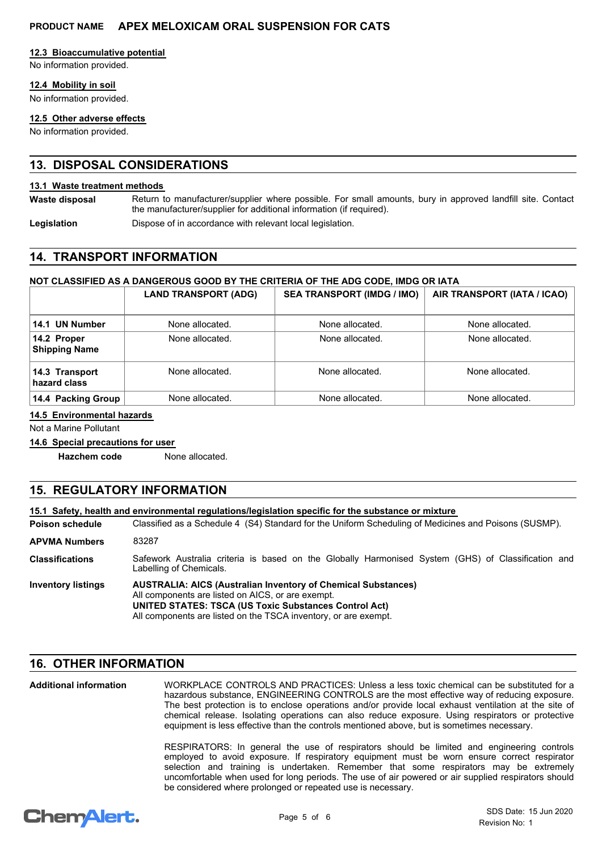#### **12.3 Bioaccumulative potential**

No information provided.

#### **12.4 Mobility in soil**

No information provided.

#### **12.5 Other adverse effects**

No information provided.

## **13. DISPOSAL CONSIDERATIONS**

#### **13.1 Waste treatment methods**

Return to manufacturer/supplier where possible. For small amounts, bury in approved landfill site. Contact the manufacturer/supplier for additional information (if required). **Waste disposal**

**Legislation** Dispose of in accordance with relevant local legislation.

## **14. TRANSPORT INFORMATION**

## **NOT CLASSIFIED AS A DANGEROUS GOOD BY THE CRITERIA OF THE ADG CODE, IMDG OR IATA**

|                                     | <b>LAND TRANSPORT (ADG)</b> | <b>SEA TRANSPORT (IMDG / IMO)</b> | AIR TRANSPORT (IATA / ICAO) |
|-------------------------------------|-----------------------------|-----------------------------------|-----------------------------|
| 14.1 UN Number                      | None allocated.             | None allocated.                   | None allocated.             |
| 14.2 Proper<br><b>Shipping Name</b> | None allocated.             | None allocated.                   | None allocated.             |
| 14.3 Transport<br>hazard class      | None allocated.             | None allocated.                   | None allocated.             |
| 14.4 Packing Group                  | None allocated.             | None allocated.                   | None allocated.             |

#### **14.5 Environmental hazards**

Not a Marine Pollutant

#### **14.6 Special precautions for user**

**Hazchem code** None allocated.

## **15. REGULATORY INFORMATION**

|                           | 15.1 Safety, health and environmental regulations/legislation specific for the substance or mixture                                                                                                                                                          |  |
|---------------------------|--------------------------------------------------------------------------------------------------------------------------------------------------------------------------------------------------------------------------------------------------------------|--|
| Poison schedule           | Classified as a Schedule 4 (S4) Standard for the Uniform Scheduling of Medicines and Poisons (SUSMP).                                                                                                                                                        |  |
| <b>APVMA Numbers</b>      | 83287                                                                                                                                                                                                                                                        |  |
| <b>Classifications</b>    | Safework Australia criteria is based on the Globally Harmonised System (GHS) of Classification and<br>Labelling of Chemicals.                                                                                                                                |  |
| <b>Inventory listings</b> | <b>AUSTRALIA: AICS (Australian Inventory of Chemical Substances)</b><br>All components are listed on AICS, or are exempt.<br><b>UNITED STATES: TSCA (US Toxic Substances Control Act)</b><br>All components are listed on the TSCA inventory, or are exempt. |  |

## **16. OTHER INFORMATION**

WORKPLACE CONTROLS AND PRACTICES: Unless a less toxic chemical can be substituted for a hazardous substance, ENGINEERING CONTROLS are the most effective way of reducing exposure. The best protection is to enclose operations and/or provide local exhaust ventilation at the site of chemical release. Isolating operations can also reduce exposure. Using respirators or protective equipment is less effective than the controls mentioned above, but is sometimes necessary. **Additional information**

> RESPIRATORS: In general the use of respirators should be limited and engineering controls employed to avoid exposure. If respiratory equipment must be worn ensure correct respirator selection and training is undertaken. Remember that some respirators may be extremely uncomfortable when used for long periods. The use of air powered or air supplied respirators should be considered where prolonged or repeated use is necessary.